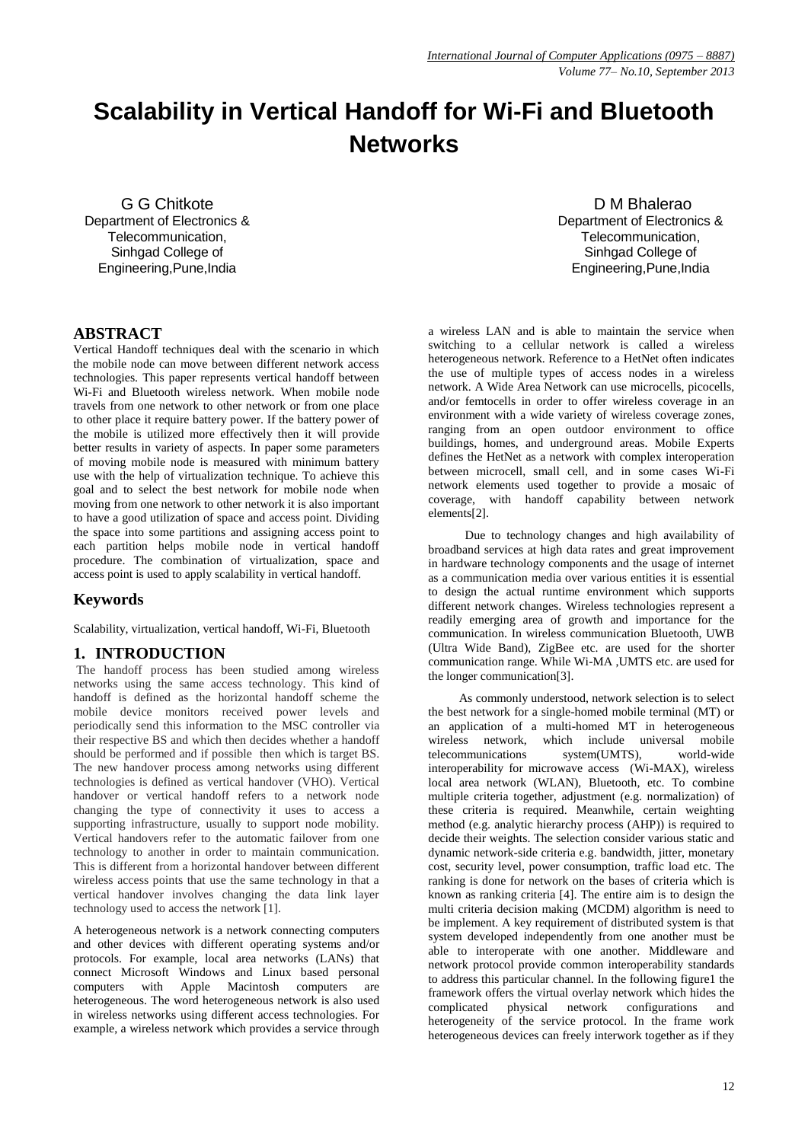# **Scalability in Vertical Handoff for Wi-Fi and Bluetooth Networks**

G G Chitkote Department of Electronics & Telecommunication, Sinhgad College of Engineering,Pune,India

# **ABSTRACT**

Vertical Handoff techniques deal with the scenario in which the mobile node can move between different network access technologies. This paper represents vertical handoff between Wi-Fi and Bluetooth wireless network. When mobile node travels from one network to other network or from one place to other place it require battery power. If the battery power of the mobile is utilized more effectively then it will provide better results in variety of aspects. In paper some parameters of moving mobile node is measured with minimum battery use with the help of virtualization technique. To achieve this goal and to select the best network for mobile node when moving from one network to other network it is also important to have a good utilization of space and access point. Dividing the space into some partitions and assigning access point to each partition helps mobile node in vertical handoff procedure. The combination of virtualization, space and access point is used to apply scalability in vertical handoff.

# **Keywords**

Scalability, virtualization, vertical handoff, Wi-Fi, Bluetooth

# **1. INTRODUCTION**

The handoff process has been studied among wireless networks using the same access technology. This kind of handoff is defined as the horizontal handoff scheme the mobile device monitors received power levels and periodically send this information to the MSC controller via their respective BS and which then decides whether a handoff should be performed and if possible then which is target BS. The new handover process among networks using different technologies is defined as vertical handover (VHO). Vertical handover or vertical handoff refers to a network node changing the type of connectivity it uses to access a supporting infrastructure, usually to support node mobility. Vertical handovers refer to the automatic failover from one technology to another in order to maintain communication. This is different from a horizontal handover between different wireless access points that use the same technology in that a vertical handover involves changing the data link layer technology used to access the network [1].

A heterogeneous network is a [network](http://en.wikipedia.org/wiki/Computer_network) connecting [computers](http://en.wikipedia.org/wiki/Computer) and other devices with different [operating systems](http://en.wikipedia.org/wiki/Operating_system) and/or [protocols.](http://en.wikipedia.org/wiki/Protocol_%28computing%29) For example, [local area networks](http://en.wikipedia.org/wiki/Local_area_network) (LANs) that connect [Microsoft Windows](http://en.wikipedia.org/wiki/Microsoft_Windows) and [Linux](http://en.wikipedia.org/wiki/Linux) based [personal](http://en.wikipedia.org/wiki/Personal_computer)  [computers](http://en.wikipedia.org/wiki/Personal_computer) with [Apple](http://en.wikipedia.org/wiki/Apple_Computer) [Macintosh](http://en.wikipedia.org/wiki/Macintosh) computers are heterogeneous. The word heterogeneous network is also used in [wireless networks](http://en.wikipedia.org/wiki/Wireless_networks) using different access technologies. For example, a wireless network which provides a service through

D M Bhalerao Department of Electronics & Telecommunication, Sinhgad College of Engineering,Pune,India

a [wireless LAN](http://en.wikipedia.org/wiki/Wireless_LAN) and is able to maintain the service when switching to a [cellular network](http://en.wikipedia.org/wiki/Cellular_network) is called a wireless heterogeneous network. Reference to a HetNet often indicates the use of multiple types of access nodes in a wireless network. A Wide Area Network can use [microcells,](http://en.wikipedia.org/wiki/Macrocell) [picocells,](http://en.wikipedia.org/wiki/Picocell) and/or [femtocells](http://en.wikipedia.org/wiki/Femtocell) in order to offer wireless coverage in an environment with a wide variety of wireless coverage zones, ranging from an open outdoor environment to office buildings, homes, and underground areas. Mobile Experts defines the HetNet as a network with complex interoperation between microcell, small cell, and in some cases Wi-Fi network elements used together to provide a mosaic of coverage, with handoff capability between network elements[2].

Due to technology changes and high availability of broadband services at high data rates and great improvement in hardware technology components and the usage of internet as a communication media over various entities it is essential to design the actual runtime environment which supports different network changes. Wireless technologies represent a readily emerging area of growth and importance for the communication. In wireless communication Bluetooth, UWB (Ultra Wide Band), ZigBee etc. are used for the shorter communication range. While Wi-MA ,UMTS etc. are used for the longer communication[3].

 As commonly understood, network selection is to select the best network for a single-homed mobile terminal (MT) or an application of a multi-homed MT in heterogeneous wireless network, which include universal mobile telecommunications system(UMTS), world-wide interoperability for microwave access (Wi-MAX), wireless local area network (WLAN), Bluetooth, etc. To combine multiple criteria together, adjustment (e.g. normalization) of these criteria is required. Meanwhile, certain weighting method (e.g. analytic hierarchy process (AHP)) is required to decide their weights. The selection consider various static and dynamic network-side criteria e.g. bandwidth, jitter, monetary cost, security level, power consumption, traffic load etc. The ranking is done for network on the bases of criteria which is known as ranking criteria [4]. The entire aim is to design the multi criteria decision making (MCDM) algorithm is need to be implement. A key requirement of distributed system is that system developed independently from one another must be able to interoperate with one another. Middleware and network protocol provide common interoperability standards to address this particular channel. In the following figure1 the framework offers the virtual overlay network which hides the complicated physical network configurations and complicated physical network configurations and heterogeneity of the service protocol. In the frame work heterogeneous devices can freely interwork together as if they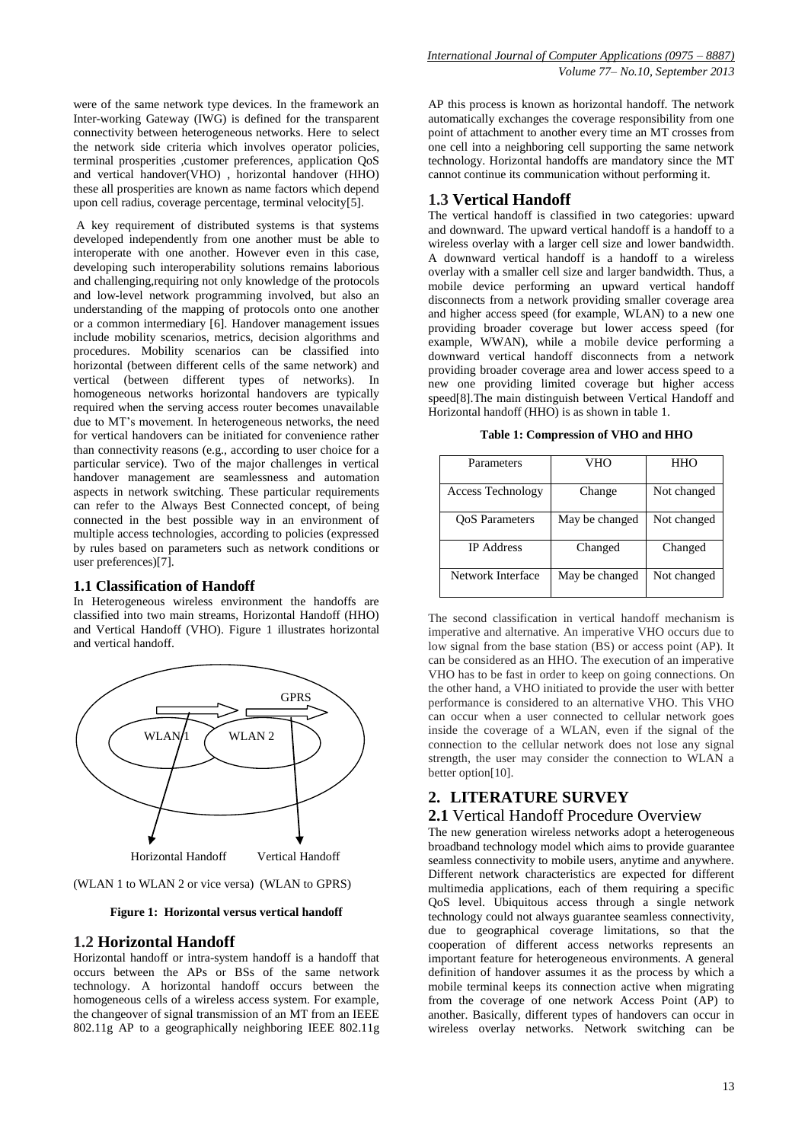were of the same network type devices. In the framework an Inter-working Gateway (IWG) is defined for the transparent connectivity between heterogeneous networks. Here to select the network side criteria which involves operator policies, terminal prosperities ,customer preferences, application QoS and vertical handover(VHO) , horizontal handover (HHO) these all prosperities are known as name factors which depend upon cell radius, coverage percentage, terminal velocity[5].

A key requirement of distributed systems is that systems developed independently from one another must be able to interoperate with one another. However even in this case, developing such interoperability solutions remains laborious and challenging,requiring not only knowledge of the protocols and low-level network programming involved, but also an understanding of the mapping of protocols onto one another or a common intermediary [6]. Handover management issues include mobility scenarios, metrics, decision algorithms and procedures. Mobility scenarios can be classified into horizontal (between different cells of the same network) and vertical (between different types of networks). In homogeneous networks horizontal handovers are typically required when the serving access router becomes unavailable due to MT's movement. In heterogeneous networks, the need for vertical handovers can be initiated for convenience rather than connectivity reasons (e.g., according to user choice for a particular service). Two of the major challenges in vertical handover management are seamlessness and automation aspects in network switching. These particular requirements can refer to the Always Best Connected concept, of being connected in the best possible way in an environment of multiple access technologies, according to policies (expressed by rules based on parameters such as network conditions or user preferences)[7].

#### **1.1 Classification of Handoff**

In Heterogeneous wireless environment the handoffs are classified into two main streams, Horizontal Handoff (HHO) and Vertical Handoff (VHO). Figure 1 illustrates horizontal and vertical handoff.



(WLAN 1 to WLAN 2 or vice versa) (WLAN to GPRS)

**Figure 1: Horizontal versus vertical handoff**

### **1.2 Horizontal Handoff**

Horizontal handoff or intra-system handoff is a handoff that occurs between the APs or BSs of the same network technology. A horizontal handoff occurs between the homogeneous cells of a wireless access system. For example, the changeover of signal transmission of an MT from an IEEE 802.11g AP to a geographically neighboring IEEE 802.11g AP this process is known as horizontal handoff. The network automatically exchanges the coverage responsibility from one point of attachment to another every time an MT crosses from one cell into a neighboring cell supporting the same network technology. Horizontal handoffs are mandatory since the MT cannot continue its communication without performing it.

# **1.3 Vertical Handoff**

The vertical handoff is classified in two categories: upward and downward. The upward vertical handoff is a handoff to a wireless overlay with a larger cell size and lower bandwidth. A downward vertical handoff is a handoff to a wireless overlay with a smaller cell size and larger bandwidth. Thus, a mobile device performing an upward vertical handoff disconnects from a network providing smaller coverage area and higher access speed (for example, WLAN) to a new one providing broader coverage but lower access speed (for example, WWAN), while a mobile device performing a downward vertical handoff disconnects from a network providing broader coverage area and lower access speed to a new one providing limited coverage but higher access speed[8].The main distinguish between Vertical Handoff and Horizontal handoff (HHO) is as shown in table 1.

**Table 1: Compression of VHO and HHO**

| Parameters               | VHO            | HHO         |
|--------------------------|----------------|-------------|
| <b>Access Technology</b> | Change         | Not changed |
| <b>OoS</b> Parameters    | May be changed | Not changed |
| <b>IP</b> Address        | Changed        | Changed     |
| Network Interface        | May be changed | Not changed |

The second classification in vertical handoff mechanism is imperative and alternative. An imperative VHO occurs due to low signal from the base station (BS) or access point (AP). It can be considered as an HHO. The execution of an imperative VHO has to be fast in order to keep on going connections. On the other hand, a VHO initiated to provide the user with better performance is considered to an alternative VHO. This VHO can occur when a user connected to cellular network goes inside the coverage of a WLAN, even if the signal of the connection to the cellular network does not lose any signal strength, the user may consider the connection to WLAN a better option[10].

# **2. LITERATURE SURVEY**

### **2.1** Vertical Handoff Procedure Overview

The new generation wireless networks adopt a heterogeneous broadband technology model which aims to provide guarantee seamless connectivity to mobile users, anytime and anywhere. Different network characteristics are expected for different multimedia applications, each of them requiring a specific QoS level. Ubiquitous access through a single network technology could not always guarantee seamless connectivity, due to geographical coverage limitations, so that the cooperation of different access networks represents an important feature for heterogeneous environments. A general definition of handover assumes it as the process by which a mobile terminal keeps its connection active when migrating from the coverage of one network Access Point (AP) to another. Basically, different types of handovers can occur in wireless overlay networks. Network switching can be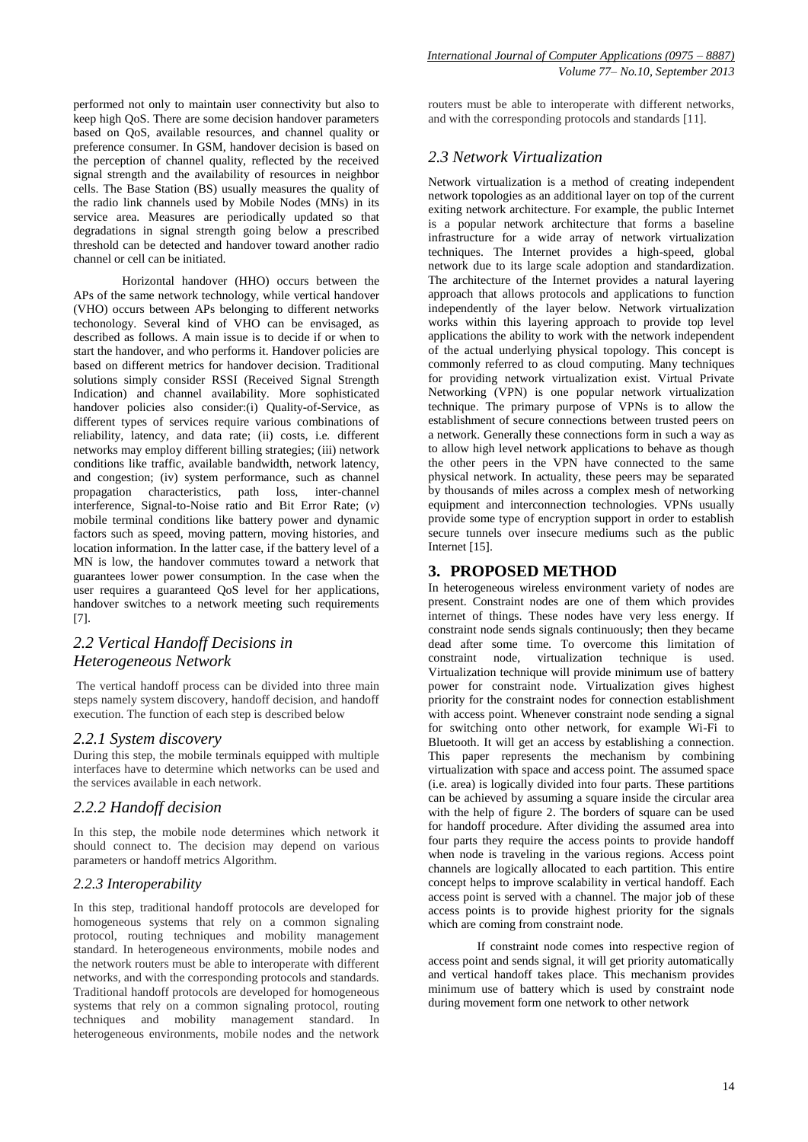performed not only to maintain user connectivity but also to keep high QoS. There are some decision handover parameters based on QoS, available resources, and channel quality or preference consumer. In GSM, handover decision is based on the perception of channel quality, reflected by the received signal strength and the availability of resources in neighbor cells. The Base Station (BS) usually measures the quality of the radio link channels used by Mobile Nodes (MNs) in its service area. Measures are periodically updated so that degradations in signal strength going below a prescribed threshold can be detected and handover toward another radio channel or cell can be initiated.

Horizontal handover (HHO) occurs between the APs of the same network technology, while vertical handover (VHO) occurs between APs belonging to different networks techonology. Several kind of VHO can be envisaged, as described as follows. A main issue is to decide if or when to start the handover, and who performs it. Handover policies are based on different metrics for handover decision. Traditional solutions simply consider RSSI (Received Signal Strength Indication) and channel availability. More sophisticated handover policies also consider:(i) Quality-of-Service, as different types of services require various combinations of reliability, latency, and data rate; (ii) costs, i.e*.* different networks may employ different billing strategies; (iii) network conditions like traffic, available bandwidth, network latency, and congestion; (iv) system performance, such as channel propagation characteristics, path loss, inter-channel interference, Signal-to-Noise ratio and Bit Error Rate; (*v*) mobile terminal conditions like battery power and dynamic factors such as speed, moving pattern, moving histories, and location information. In the latter case, if the battery level of a MN is low, the handover commutes toward a network that guarantees lower power consumption. In the case when the user requires a guaranteed OoS level for her applications, handover switches to a network meeting such requirements [7].

# *2.2 Vertical Handoff Decisions in Heterogeneous Network*

The vertical handoff process can be divided into three main steps namely system discovery, handoff decision, and handoff execution. The function of each step is described below

### *2.2.1 System discovery*

During this step, the mobile terminals equipped with multiple interfaces have to determine which networks can be used and the services available in each network.

### *2.2.2 Handoff decision*

In this step, the mobile node determines which network it should connect to. The decision may depend on various parameters or handoff metrics Algorithm.

# *2.2.3 Interoperability*

In this step, traditional handoff protocols are developed for homogeneous systems that rely on a common signaling protocol, routing techniques and mobility management standard. In heterogeneous environments, mobile nodes and the network routers must be able to interoperate with different networks, and with the corresponding protocols and standards. Traditional handoff protocols are developed for homogeneous systems that rely on a common signaling protocol, routing techniques and mobility management standard. In heterogeneous environments, mobile nodes and the network

routers must be able to interoperate with different networks, and with the corresponding protocols and standards [11].

# *2.3 Network Virtualization*

Network virtualization is a method of creating independent network topologies as an additional layer on top of the current exiting network architecture. For example, the public Internet is a popular network architecture that forms a baseline infrastructure for a wide array of network virtualization techniques. The Internet provides a high-speed, global network due to its large scale adoption and standardization. The architecture of the Internet provides a natural layering approach that allows protocols and applications to function independently of the layer below. Network virtualization works within this layering approach to provide top level applications the ability to work with the network independent of the actual underlying physical topology. This concept is commonly referred to as cloud computing. Many techniques for providing network virtualization exist. Virtual Private Networking (VPN) is one popular network virtualization technique. The primary purpose of VPNs is to allow the establishment of secure connections between trusted peers on a network. Generally these connections form in such a way as to allow high level network applications to behave as though the other peers in the VPN have connected to the same physical network. In actuality, these peers may be separated by thousands of miles across a complex mesh of networking equipment and interconnection technologies. VPNs usually provide some type of encryption support in order to establish secure tunnels over insecure mediums such as the public Internet [15].

# **3. PROPOSED METHOD**

In heterogeneous wireless environment variety of nodes are present. Constraint nodes are one of them which provides internet of things. These nodes have very less energy. If constraint node sends signals continuously; then they became dead after some time. To overcome this limitation of constraint node, virtualization technique is used. Virtualization technique will provide minimum use of battery power for constraint node. Virtualization gives highest priority for the constraint nodes for connection establishment with access point. Whenever constraint node sending a signal for switching onto other network, for example Wi-Fi to Bluetooth. It will get an access by establishing a connection. This paper represents the mechanism by combining virtualization with space and access point. The assumed space (i.e. area) is logically divided into four parts. These partitions can be achieved by assuming a square inside the circular area with the help of figure 2. The borders of square can be used for handoff procedure. After dividing the assumed area into four parts they require the access points to provide handoff when node is traveling in the various regions. Access point channels are logically allocated to each partition. This entire concept helps to improve scalability in vertical handoff. Each access point is served with a channel. The major job of these access points is to provide highest priority for the signals which are coming from constraint node.

If constraint node comes into respective region of access point and sends signal, it will get priority automatically and vertical handoff takes place. This mechanism provides minimum use of battery which is used by constraint node during movement form one network to other network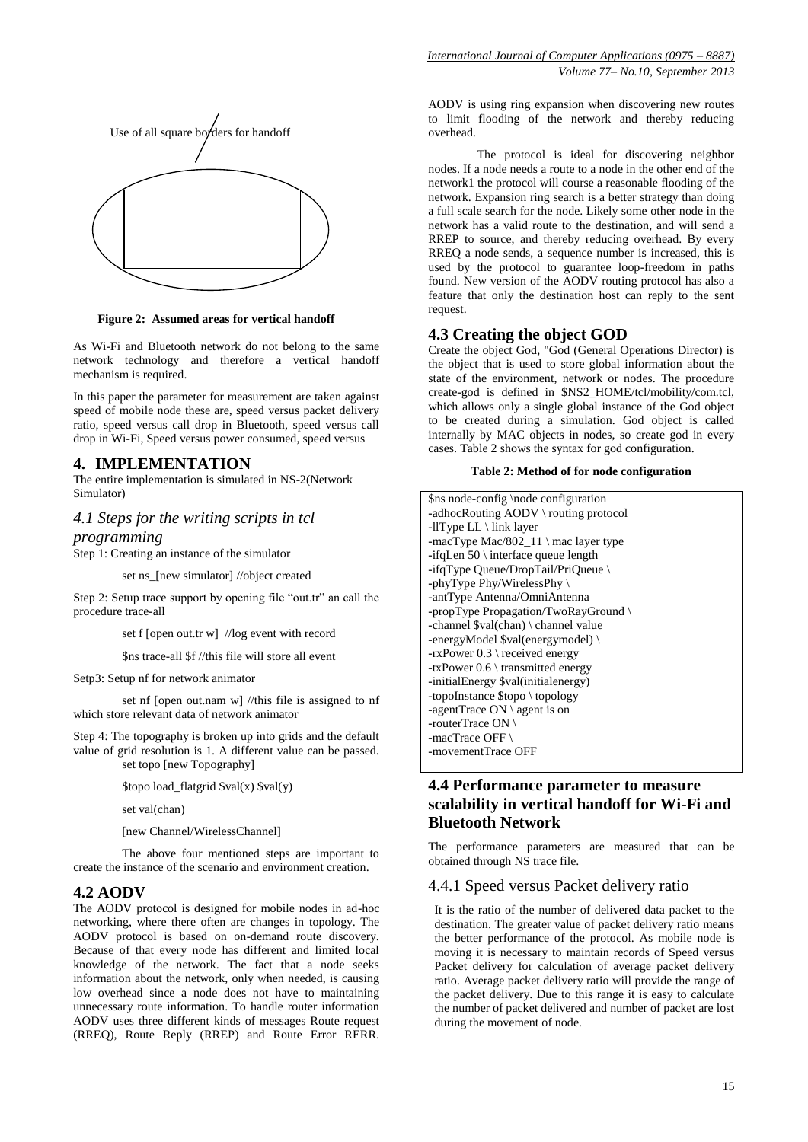

**Figure 2: Assumed areas for vertical handoff**

As Wi-Fi and Bluetooth network do not belong to the same network technology and therefore a vertical handoff mechanism is required.

In this paper the parameter for measurement are taken against speed of mobile node these are, speed versus packet delivery ratio, speed versus call drop in Bluetooth, speed versus call drop in Wi-Fi, Speed versus power consumed, speed versus

# **4. IMPLEMENTATION**

The entire implementation is simulated in NS-2(Network Simulator)

### *4.1 Steps for the writing scripts in tcl*

*programming* 

Step 1: Creating an instance of the simulator

set ns [new simulator] //object created

Step 2: Setup trace support by opening file "out.tr" an call the procedure trace-all

set f [open out.tr w] //log event with record

\$ns trace-all \$f //this file will store all event

Setp3: Setup nf for network animator

set nf [open out.nam w] //this file is assigned to nf which store relevant data of network animator

Step 4: The topography is broken up into grids and the default value of grid resolution is 1. A different value can be passed. set topo [new Topography]

\$topo load\_flatgrid \$val(x) \$val(y)

set val(chan)

[new Channel/WirelessChannel]

The above four mentioned steps are important to create the instance of the scenario and environment creation.

### **4.2 AODV**

The AODV protocol is designed for mobile nodes in ad-hoc networking, where there often are changes in topology. The AODV protocol is based on on-demand route discovery. Because of that every node has different and limited local knowledge of the network. The fact that a node seeks information about the network, only when needed, is causing low overhead since a node does not have to maintaining unnecessary route information. To handle router information AODV uses three different kinds of messages Route request (RREQ), Route Reply (RREP) and Route Error RERR.

AODV is using ring expansion when discovering new routes to limit flooding of the network and thereby reducing overhead.

The protocol is ideal for discovering neighbor nodes. If a node needs a route to a node in the other end of the network1 the protocol will course a reasonable flooding of the network. Expansion ring search is a better strategy than doing a full scale search for the node. Likely some other node in the network has a valid route to the destination, and will send a RREP to source, and thereby reducing overhead. By every RREQ a node sends, a sequence number is increased, this is used by the protocol to guarantee loop-freedom in paths found. New version of the AODV routing protocol has also a feature that only the destination host can reply to the sent request.

# **4.3 Creating the object GOD**

Create the object God, "God (General Operations Director) is the object that is used to store global information about the state of the environment, network or nodes. The procedure create-god is defined in \$NS2\_HOME/tcl/mobility/com.tcl, which allows only a single global instance of the God object to be created during a simulation. God object is called internally by MAC objects in nodes, so create god in every cases. Table 2 shows the syntax for god configuration.

#### **Table 2: Method of for node configuration**

| \$ns node-config \node configuration                        |
|-------------------------------------------------------------|
| -adhocRouting AODV \ routing protocol                       |
| -llType $LL \setminus$ link layer                           |
| -macType Mac/802_11 \ mac layer type                        |
| -if q Len $50 \setminus$ interface queue length             |
| -ifqType Queue/DropTail/PriQueue \                          |
| -phyType Phy/WirelessPhy $\langle$                          |
| -antType Antenna/OmniAntenna                                |
| -propType Propagation/TwoRayGround                          |
| -channel $\val(\text{chan}) \setminus \text{channel value}$ |
| -energyModel $\alpha$ (energymodel) \                       |
| $-rxPower\ 0.3 \ (received energy)$                         |
| -txPower $0.6 \setminus$ transmitted energy                 |
| -initialEnergy \$val(initialenergy)                         |
| -topoInstance \$topo \ topology                             |
| -agentTrace $ON \setminus$ agent is on                      |
| -routerTrace $ON \setminus$                                 |
| -macTrace OFF $\setminus$                                   |
| -movementTrace OFF                                          |
|                                                             |

# **4.4 Performance parameter to measure scalability in vertical handoff for Wi-Fi and Bluetooth Network**

The performance parameters are measured that can be obtained through NS trace file.

#### 4.4.1 Speed versus Packet delivery ratio

It is the ratio of the number of delivered data packet to the destination. The greater value of packet delivery ratio means the better performance of the protocol. As mobile node is moving it is necessary to maintain records of Speed versus Packet delivery for calculation of average packet delivery ratio. Average packet delivery ratio will provide the range of the packet delivery. Due to this range it is easy to calculate the number of packet delivered and number of packet are lost during the movement of node.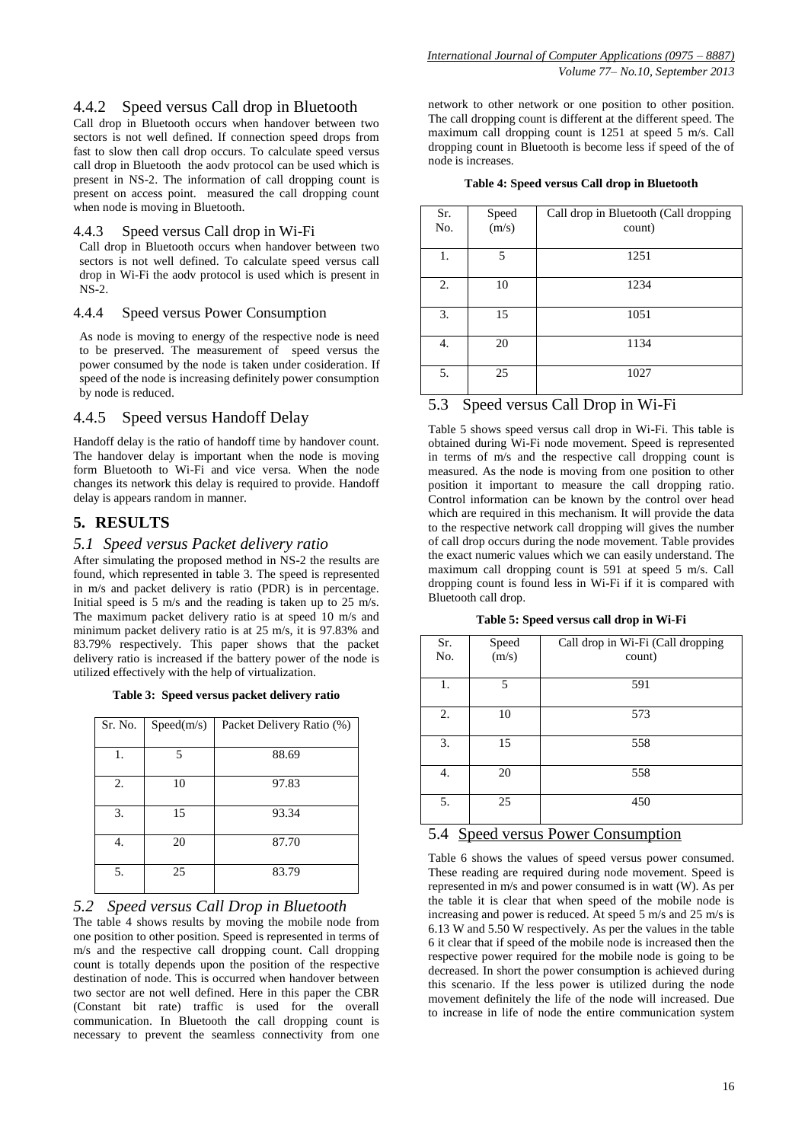# 4.4.2 Speed versus Call drop in Bluetooth

Call drop in Bluetooth occurs when handover between two sectors is not well defined. If connection speed drops from fast to slow then call drop occurs. To calculate speed versus call drop in Bluetooth the aodv protocol can be used which is present in NS-2. The information of call dropping count is present on access point. measured the call dropping count when node is moving in Bluetooth.

#### 4.4.3 Speed versus Call drop in Wi-Fi

Call drop in Bluetooth occurs when handover between two sectors is not well defined. To calculate speed versus call drop in Wi-Fi the aodv protocol is used which is present in NS-2.

#### 4.4.4 Speed versus Power Consumption

As node is moving to energy of the respective node is need to be preserved. The measurement of speed versus the power consumed by the node is taken under cosideration. If speed of the node is increasing definitely power consumption by node is reduced.

# 4.4.5 Speed versus Handoff Delay

Handoff delay is the ratio of handoff time by handover count. The handover delay is important when the node is moving form Bluetooth to Wi-Fi and vice versa. When the node changes its network this delay is required to provide. Handoff delay is appears random in manner.

# **5. RESULTS**

### *5.1 Speed versus Packet delivery ratio*

After simulating the proposed method in NS-2 the results are found, which represented in table 3. The speed is represented in m/s and packet delivery is ratio (PDR) is in percentage. Initial speed is 5 m/s and the reading is taken up to 25 m/s. The maximum packet delivery ratio is at speed 10 m/s and minimum packet delivery ratio is at 25 m/s, it is 97.83% and 83.79% respectively. This paper shows that the packet delivery ratio is increased if the battery power of the node is utilized effectively with the help of virtualization.

| Table 3: Speed versus packet delivery ratio |  |  |  |  |  |
|---------------------------------------------|--|--|--|--|--|
|---------------------------------------------|--|--|--|--|--|

| Sr. No. | Speed(m/s) | Packet Delivery Ratio (%) |
|---------|------------|---------------------------|
| 1.      | 5          | 88.69                     |
| 2.      | 10         | 97.83                     |
| 3.      | 15         | 93.34                     |
| 4.      | 20         | 87.70                     |
| 5.      | 25         | 83.79                     |

### *5.2 Speed versus Call Drop in Bluetooth*

The table 4 shows results by moving the mobile node from one position to other position. Speed is represented in terms of m/s and the respective call dropping count. Call dropping count is totally depends upon the position of the respective destination of node. This is occurred when handover between two sector are not well defined. Here in this paper the CBR (Constant bit rate) traffic is used for the overall communication. In Bluetooth the call dropping count is necessary to prevent the seamless connectivity from one

network to other network or one position to other position. The call dropping count is different at the different speed. The maximum call dropping count is 1251 at speed 5 m/s. Call dropping count in Bluetooth is become less if speed of the of node is increases.

|  |  |  | Table 4: Speed versus Call drop in Bluetooth |
|--|--|--|----------------------------------------------|
|  |  |  |                                              |

| Sr.<br>No. | Speed<br>(m/s) | Call drop in Bluetooth (Call dropping<br>count) |
|------------|----------------|-------------------------------------------------|
|            |                |                                                 |
| 1.         | 5              | 1251                                            |
| 2.         | 10             | 1234                                            |
| 3.         | 15             | 1051                                            |
| 4.         | 20             | 1134                                            |
| 5.         | 25             | 1027                                            |

# 5.3 Speed versus Call Drop in Wi-Fi

Table 5 shows speed versus call drop in Wi-Fi. This table is obtained during Wi-Fi node movement. Speed is represented in terms of m/s and the respective call dropping count is measured. As the node is moving from one position to other position it important to measure the call dropping ratio. Control information can be known by the control over head which are required in this mechanism. It will provide the data to the respective network call dropping will gives the number of call drop occurs during the node movement. Table provides the exact numeric values which we can easily understand. The maximum call dropping count is 591 at speed 5 m/s. Call dropping count is found less in Wi-Fi if it is compared with Bluetooth call drop.

**Table 5: Speed versus call drop in Wi-Fi**

| Sr.<br>No. | Speed<br>(m/s) | Call drop in Wi-Fi (Call dropping<br>count) |
|------------|----------------|---------------------------------------------|
| 1.         | 5              | 591                                         |
| 2.         | 10             | 573                                         |
| 3.         | 15             | 558                                         |
| 4.         | 20             | 558                                         |
| 5.         | 25             | 450                                         |

# 5.4 Speed versus Power Consumption

Table 6 shows the values of speed versus power consumed. These reading are required during node movement. Speed is represented in m/s and power consumed is in watt (W). As per the table it is clear that when speed of the mobile node is increasing and power is reduced. At speed 5 m/s and 25 m/s is 6.13 W and 5.50 W respectively. As per the values in the table 6 it clear that if speed of the mobile node is increased then the respective power required for the mobile node is going to be decreased. In short the power consumption is achieved during this scenario. If the less power is utilized during the node movement definitely the life of the node will increased. Due to increase in life of node the entire communication system